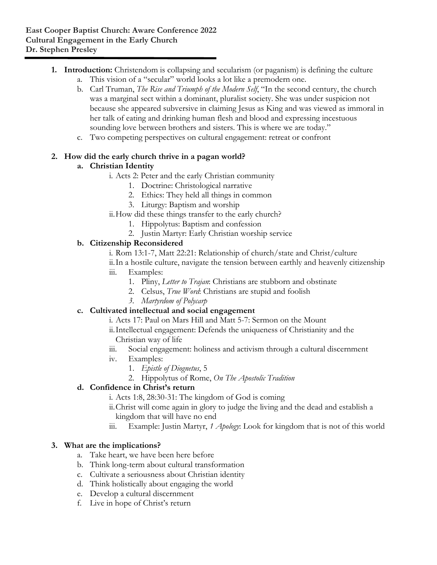- **1. Introduction:** Christendom is collapsing and secularism (or paganism) is defining the culture
	- a. This vision of a "secular" world looks a lot like a premodern one.
	- b. Carl Truman, *The Rise and Triumph of the Modern Self*, "In the second century, the church was a marginal sect within a dominant, pluralist society. She was under suspicion not because she appeared subversive in claiming Jesus as King and was viewed as immoral in her talk of eating and drinking human flesh and blood and expressing incestuous sounding love between brothers and sisters. This is where we are today."
	- c. Two competing perspectives on cultural engagement: retreat or confront

## **2. How did the early church thrive in a pagan world?**

# **a. Christian Identity**

- i. Acts 2: Peter and the early Christian community
	- 1. Doctrine: Christological narrative
	- 2. Ethics: They held all things in common
	- 3. Liturgy: Baptism and worship
- ii.How did these things transfer to the early church?
	- 1. Hippolytus: Baptism and confession
	- 2. Justin Martyr: Early Christian worship service

## **b. Citizenship Reconsidered**

- i. Rom 13:1-7, Matt 22:21: Relationship of church/state and Christ/culture
- ii.In a hostile culture, navigate the tension between earthly and heavenly citizenship
- iii. Examples:
	- 1. Pliny, *Letter to Trajan*: Christians are stubborn and obstinate
	- 2. Celsus, *True Word*: Christians are stupid and foolish
	- *3. Martyrdom of Polycarp*

# **c. Cultivated intellectual and social engagement**

- i. Acts 17: Paul on Mars Hill and Matt 5-7: Sermon on the Mount
- ii.Intellectual engagement: Defends the uniqueness of Christianity and the Christian way of life
- iii. Social engagement: holiness and activism through a cultural discernment
- iv. Examples:
	- 1. *Epistle of Diognetus*, 5
	- 2. Hippolytus of Rome, *On The Apostolic Tradition*

# **d. Confidence in Christ's return**

- i. Acts 1:8, 28:30-31: The kingdom of God is coming
- ii.Christ will come again in glory to judge the living and the dead and establish a kingdom that will have no end
- iii. Example: Justin Martyr, *1 Apology*: Look for kingdom that is not of this world

# **3. What are the implications?**

- a. Take heart, we have been here before
- b. Think long-term about cultural transformation
- c. Cultivate a seriousness about Christian identity
- d. Think holistically about engaging the world
- e. Develop a cultural discernment
- f. Live in hope of Christ's return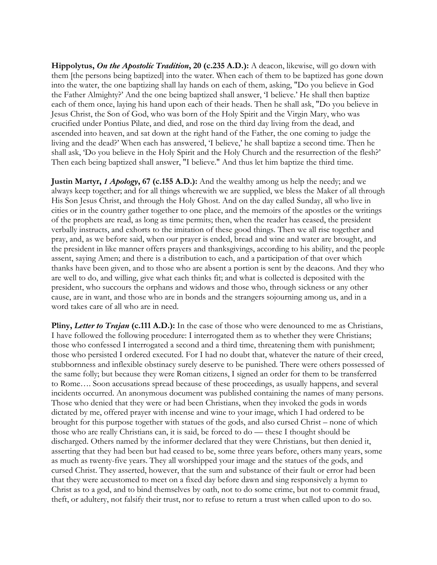**Hippolytus,** *On the Apostolic Tradition***, 20 (c.235 A.D.):** A deacon, likewise, will go down with them [the persons being baptized] into the water. When each of them to be baptized has gone down into the water, the one baptizing shall lay hands on each of them, asking, "Do you believe in God the Father Almighty?' And the one being baptized shall answer, 'I believe.' He shall then baptize each of them once, laying his hand upon each of their heads. Then he shall ask, "Do you believe in Jesus Christ, the Son of God, who was born of the Holy Spirit and the Virgin Mary, who was crucified under Pontius Pilate, and died, and rose on the third day living from the dead, and ascended into heaven, and sat down at the right hand of the Father, the one coming to judge the living and the dead?' When each has answered, 'I believe,' he shall baptize a second time. Then he shall ask, 'Do you believe in the Holy Spirit and the Holy Church and the resurrection of the flesh?' Then each being baptized shall answer, "I believe." And thus let him baptize the third time.

**Justin Martyr,** *1 Apology***, 67 (c.155 A.D.):** And the wealthy among us help the needy; and we always keep together; and for all things wherewith we are supplied, we bless the Maker of all through His Son Jesus Christ, and through the Holy Ghost. And on the day called Sunday, all who live in cities or in the country gather together to one place, and the memoirs of the apostles or the writings of the prophets are read, as long as time permits; then, when the reader has ceased, the president verbally instructs, and exhorts to the imitation of these good things. Then we all rise together and pray, and, as we before said, when our prayer is ended, bread and wine and water are brought, and the president in like manner offers prayers and thanksgivings, according to his ability, and the people assent, saying Amen; and there is a distribution to each, and a participation of that over which thanks have been given, and to those who are absent a portion is sent by the deacons. And they who are well to do, and willing, give what each thinks fit; and what is collected is deposited with the president, who succours the orphans and widows and those who, through sickness or any other cause, are in want, and those who are in bonds and the strangers sojourning among us, and in a word takes care of all who are in need.

**Pliny, Letter to Trajan (c.111 A.D.):** In the case of those who were denounced to me as Christians, I have followed the following procedure: I interrogated them as to whether they were Christians; those who confessed I interrogated a second and a third time, threatening them with punishment; those who persisted I ordered executed. For I had no doubt that, whatever the nature of their creed, stubbornness and inflexible obstinacy surely deserve to be punished. There were others possessed of the same folly; but because they were Roman citizens, I signed an order for them to be transferred to Rome…. Soon accusations spread because of these proceedings, as usually happens, and several incidents occurred. An anonymous document was published containing the names of many persons. Those who denied that they were or had been Christians, when they invoked the gods in words dictated by me, offered prayer with incense and wine to your image, which I had ordered to be brought for this purpose together with statues of the gods, and also cursed Christ – none of which those who are really Christians can, it is said, be forced to do — these I thought should be discharged. Others named by the informer declared that they were Christians, but then denied it, asserting that they had been but had ceased to be, some three years before, others many years, some as much as twenty-five years. They all worshipped your image and the statues of the gods, and cursed Christ. They asserted, however, that the sum and substance of their fault or error had been that they were accustomed to meet on a fixed day before dawn and sing responsively a hymn to Christ as to a god, and to bind themselves by oath, not to do some crime, but not to commit fraud, theft, or adultery, not falsify their trust, nor to refuse to return a trust when called upon to do so.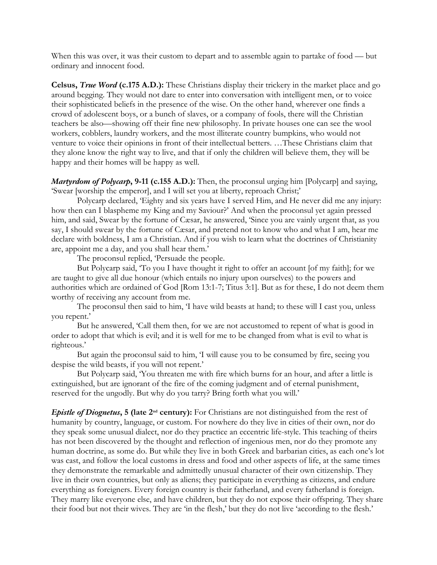When this was over, it was their custom to depart and to assemble again to partake of food — but ordinary and innocent food.

**Celsus,** *True Word* **(c.175 A.D.):** These Christians display their trickery in the market place and go around begging. They would not dare to enter into conversation with intelligent men, or to voice their sophisticated beliefs in the presence of the wise. On the other hand, wherever one finds a crowd of adolescent boys, or a bunch of slaves, or a company of fools, there will the Christian teachers be also—showing off their fine new philosophy. In private houses one can see the wool workers, cobblers, laundry workers, and the most illiterate country bumpkins, who would not venture to voice their opinions in front of their intellectual betters. …These Christians claim that they alone know the right way to live, and that if only the children will believe them, they will be happy and their homes will be happy as well.

*Martyrdom of Polycarp***, 9-11 (c.155 A.D.):** Then, the proconsul urging him [Polycarp] and saying, 'Swear [worship the emperor], and I will set you at liberty, reproach Christ;'

Polycarp declared, 'Eighty and six years have I served Him, and He never did me any injury: how then can I blaspheme my King and my Saviour?' And when the proconsul yet again pressed him, and said, Swear by the fortune of Cæsar, he answered, 'Since you are vainly urgent that, as you say, I should swear by the fortune of Cæsar, and pretend not to know who and what I am, hear me declare with boldness, I am a Christian. And if you wish to learn what the doctrines of Christianity are, appoint me a day, and you shall hear them.'

The proconsul replied, 'Persuade the people.

But Polycarp said, 'To you I have thought it right to offer an account [of my faith]; for we are taught to give all due honour (which entails no injury upon ourselves) to the powers and authorities which are ordained of God [Rom 13:1-7; Titus 3:1]. But as for these, I do not deem them worthy of receiving any account from me.

The proconsul then said to him, 'I have wild beasts at hand; to these will I cast you, unless you repent.'

But he answered, 'Call them then, for we are not accustomed to repent of what is good in order to adopt that which is evil; and it is well for me to be changed from what is evil to what is righteous.'

But again the proconsul said to him, 'I will cause you to be consumed by fire, seeing you despise the wild beasts, if you will not repent.'

But Polycarp said, 'You threaten me with fire which burns for an hour, and after a little is extinguished, but are ignorant of the fire of the coming judgment and of eternal punishment, reserved for the ungodly. But why do you tarry? Bring forth what you will.'

*Epistle of Diognetus***, 5 (late 2nd century):** For Christians are not distinguished from the rest of humanity by country, language, or custom. For nowhere do they live in cities of their own, nor do they speak some unusual dialect, nor do they practice an eccentric life-style. This teaching of theirs has not been discovered by the thought and reflection of ingenious men, nor do they promote any human doctrine, as some do. But while they live in both Greek and barbarian cities, as each one's lot was cast, and follow the local customs in dress and food and other aspects of life, at the same times they demonstrate the remarkable and admittedly unusual character of their own citizenship. They live in their own countries, but only as aliens; they participate in everything as citizens, and endure everything as foreigners. Every foreign country is their fatherland, and every fatherland is foreign. They marry like everyone else, and have children, but they do not expose their offspring. They share their food but not their wives. They are 'in the flesh,' but they do not live 'according to the flesh.'